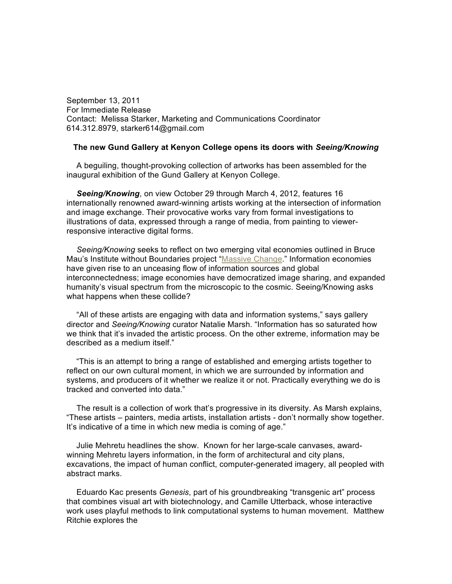September 13, 2011 For Immediate Release Contact: Melissa Starker, Marketing and Communications Coordinator 614.312.8979, starker614@gmail.com

## **The new Gund Gallery at Kenyon College opens its doors with** *Seeing/Knowing*

A beguiling, thought-provoking collection of artworks has been assembled for the inaugural exhibition of the Gund Gallery at Kenyon College.

*Seeing/Knowing*, on view October 29 through March 4, 2012, features 16 internationally renowned award-winning artists working at the intersection of information and image exchange. Their provocative works vary from formal investigations to illustrations of data, expressed through a range of media, from painting to viewerresponsive interactive digital forms.

*Seeing/Knowing* seeks to reflect on two emerging vital economies outlined in Bruce Mau's Institute without Boundaries project ["Massive](http://www.massivechange.com/about) Change." Information economies have given rise to an unceasing flow of information sources and global interconnectedness; image economies have democratized image sharing, and expanded humanity's visual spectrum from the microscopic to the cosmic. Seeing/Knowing asks what happens when these collide?

"All of these artists are engaging with data and information systems," says gallery director and *Seeing/Knowing* curator Natalie Marsh. "Information has so saturated how we think that it's invaded the artistic process. On the other extreme, information may be described as a medium itself."

"This is an attempt to bring a range of established and emerging artists together to reflect on our own cultural moment, in which we are surrounded by information and systems, and producers of it whether we realize it or not. Practically everything we do is tracked and converted into data."

The result is a collection of work that's progressive in its diversity. As Marsh explains, "These artists – painters, media artists, installation artists - don't normally show together. It's indicative of a time in which new media is coming of age."

Julie Mehretu headlines the show. Known for her large-scale canvases, awardwinning Mehretu layers information, in the form of architectural and city plans, excavations, the impact of human conflict, computer-generated imagery, all peopled with abstract marks.

Eduardo Kac presents *Genesis*, part of his groundbreaking "transgenic art" process that combines visual art with biotechnology, and Camille Utterback, whose interactive work uses playful methods to link computational systems to human movement. Matthew Ritchie explores the